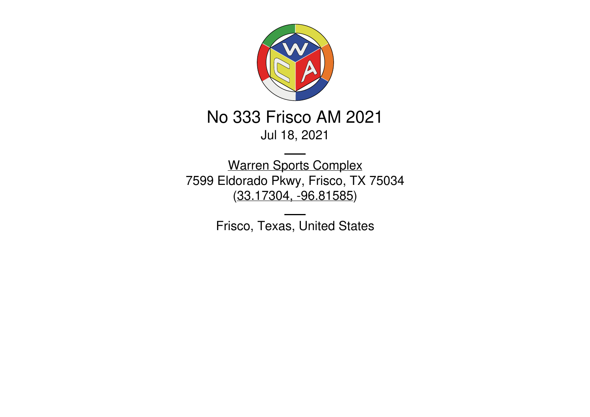

# No 333 Frisco AM 2021 Jul 18, 2021

Warren Sports [Complex](https://www.friscotexas.gov/Facilities/Facility/Details/Warren-Sports-Complex-77) 7599 Eldorado Pkwy, Frisco, TX 75034 [\(33.17304,](https://www.google.com/maps/place/33.17304,-96.81585) -96.81585)

Frisco, Texas, United States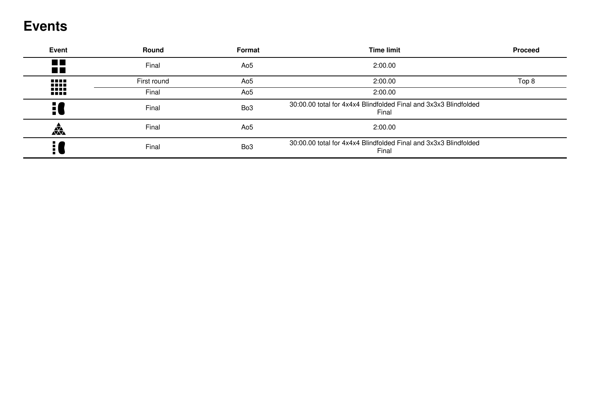## **Events**

| <b>Event</b>                     | <b>Round</b> | Format          | <b>Time limit</b>                                                         | <b>Proceed</b> |
|----------------------------------|--------------|-----------------|---------------------------------------------------------------------------|----------------|
| $\blacksquare$<br>$\blacksquare$ | Final        | Ao <sub>5</sub> | 2:00.00                                                                   |                |
| 1111                             | First round  | Ao <sub>5</sub> | 2:00.00                                                                   | Top 8          |
| 1111                             | Final        | Ao5             | 2:00.00                                                                   |                |
|                                  | Final        | Bo <sub>3</sub> | 30:00.00 total for 4x4x4 Blindfolded Final and 3x3x3 Blindfolded<br>Final |                |
| 焱                                | Final        | Ao <sub>5</sub> | 2:00.00                                                                   |                |
| 9                                | Final        | Bo <sub>3</sub> | 30:00.00 total for 4x4x4 Blindfolded Final and 3x3x3 Blindfolded<br>Final |                |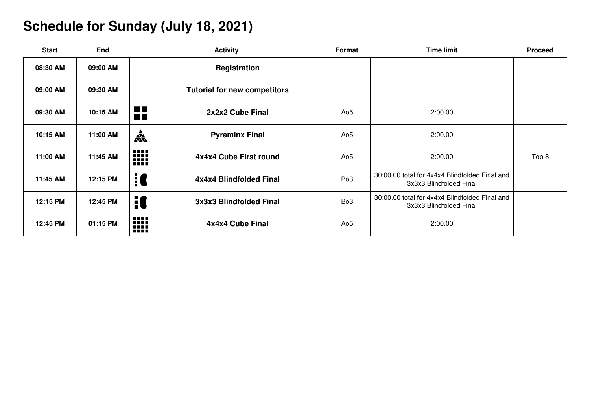# **Schedule for Sunday (July 18, 2021)**

| <b>Start</b> | <b>End</b> | <b>Activity</b>                                    | <b>Format</b>   | <b>Time limit</b>                                                         | <b>Proceed</b> |
|--------------|------------|----------------------------------------------------|-----------------|---------------------------------------------------------------------------|----------------|
| 08:30 AM     | 09:00 AM   | Registration                                       |                 |                                                                           |                |
| 09:00 AM     | 09:30 AM   | <b>Tutorial for new competitors</b>                |                 |                                                                           |                |
| 09:30 AM     | 10:15 AM   | <b>The Co</b><br>2x2x2 Cube Final<br><b>The Co</b> | Ao <sub>5</sub> | 2:00.00                                                                   |                |
| 10:15 AM     | 11:00 AM   | 森<br><b>Pyraminx Final</b>                         | Ao <sub>5</sub> | 2:00.00                                                                   |                |
| 11:00 AM     | 11:45 AM   | W<br>4x4x4 Cube First round                        | Ao <sub>5</sub> | 2:00.00                                                                   | Top 8          |
| 11:45 AM     | 12:15 PM   | 10<br>4x4x4 Blindfolded Final                      | Bo <sub>3</sub> | 30:00.00 total for 4x4x4 Blindfolded Final and<br>3x3x3 Blindfolded Final |                |
| 12:15 PM     | 12:45 PM   | 10<br>3x3x3 Blindfolded Final                      | Bo <sub>3</sub> | 30:00.00 total for 4x4x4 Blindfolded Final and<br>3x3x3 Blindfolded Final |                |
| 12:45 PM     | 01:15 PM   | ₩<br>4x4x4 Cube Final                              | Ao <sub>5</sub> | 2:00.00                                                                   |                |